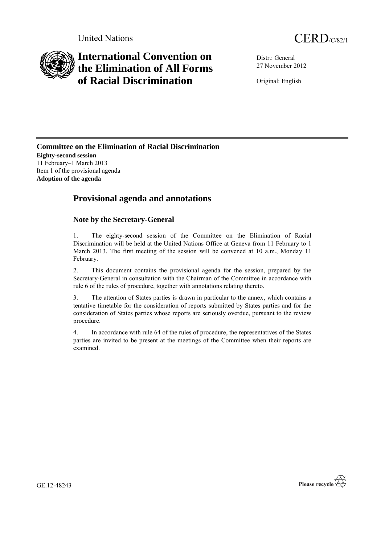

# **International Convention on the Elimination of All Forms of Racial Discrimination**

Distr.: General 27 November 2012

Original: English

**Committee on the Elimination of Racial Discrimination Eighty-second session** 11 February–1 March 2013 Item 1 of the provisional agenda **Adoption of the agenda**

## **Provisional agenda and annotations**

### **Note by the Secretary-General**

1. The eighty-second session of the Committee on the Elimination of Racial Discrimination will be held at the United Nations Office at Geneva from 11 February to 1 March 2013. The first meeting of the session will be convened at 10 a.m., Monday 11 February.

2. This document contains the provisional agenda for the session, prepared by the Secretary-General in consultation with the Chairman of the Committee in accordance with rule 6 of the rules of procedure, together with annotations relating thereto.

3. The attention of States parties is drawn in particular to the annex, which contains a tentative timetable for the consideration of reports submitted by States parties and for the consideration of States parties whose reports are seriously overdue, pursuant to the review procedure.

4. In accordance with rule 64 of the rules of procedure, the representatives of the States parties are invited to be present at the meetings of the Committee when their reports are examined.



GE.12-48243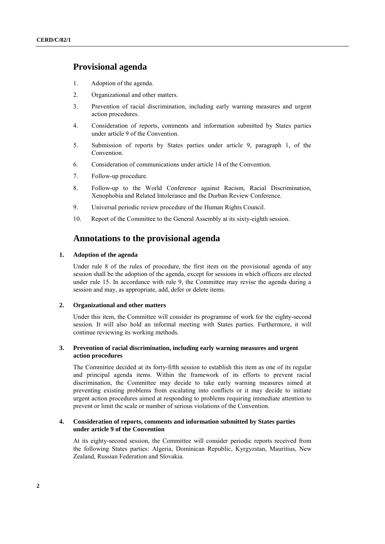### **Provisional agenda**

- 1. Adoption of the agenda.
- 2. Organizational and other matters.
- 3. Prevention of racial discrimination, including early warning measures and urgent action procedures.
- 4. Consideration of reports, comments and information submitted by States parties under article 9 of the Convention.
- 5. Submission of reports by States parties under article 9, paragraph 1, of the Convention.
- 6. Consideration of communications under article 14 of the Convention.
- 7. Follow-up procedure.
- 8. Follow-up to the World Conference against Racism, Racial Discrimination, Xenophobia and Related Intolerance and the Durban Review Conference.
- 9. Universal periodic review procedure of the Human Rights Council.
- 10. Report of the Committee to the General Assembly at its sixty-eighth session.

### **Annotations to the provisional agenda**

#### **1. Adoption of the agenda**

Under rule 8 of the rules of procedure, the first item on the provisional agenda of any session shall be the adoption of the agenda, except for sessions in which officers are elected under rule 15. In accordance with rule 9, the Committee may revise the agenda during a session and may, as appropriate, add, defer or delete items.

#### **2. Organizational and other matters**

Under this item, the Committee will consider its programme of work for the eighty-second session. It will also hold an informal meeting with States parties. Furthermore, it will continue reviewing its working methods.

#### **3. Prevention of racial discrimination, including early warning measures and urgent action procedures**

The Committee decided at its forty-fifth session to establish this item as one of its regular and principal agenda items. Within the framework of its efforts to prevent racial discrimination, the Committee may decide to take early warning measures aimed at preventing existing problems from escalating into conflicts or it may decide to initiate urgent action procedures aimed at responding to problems requiring immediate attention to prevent or limit the scale or number of serious violations of the Convention.

#### **4. Consideration of reports, comments and information submitted by States parties under article 9 of the Convention**

At its eighty-second session, the Committee will consider periodic reports received from the following States parties: Algeria, Dominican Republic, Kyrgyzstan, Mauritius, New Zealand, Russian Federation and Slovakia.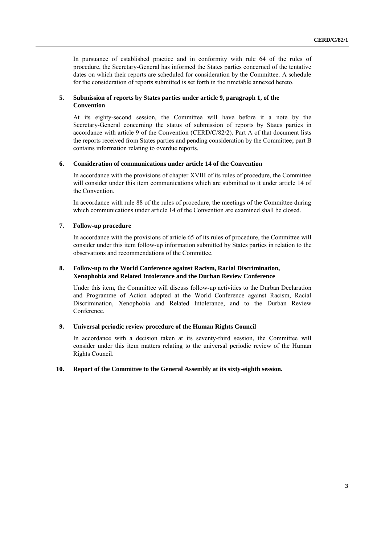In pursuance of established practice and in conformity with rule 64 of the rules of procedure, the Secretary-General has informed the States parties concerned of the tentative dates on which their reports are scheduled for consideration by the Committee. A schedule for the consideration of reports submitted is set forth in the timetable annexed hereto.

#### **5. Submission of reports by States parties under article 9, paragraph 1, of the Convention**

At its eighty-second session, the Committee will have before it a note by the Secretary-General concerning the status of submission of reports by States parties in accordance with article 9 of the Convention (CERD/C/82/2). Part A of that document lists the reports received from States parties and pending consideration by the Committee; part B contains information relating to overdue reports.

#### **6. Consideration of communications under article 14 of the Convention**

In accordance with the provisions of chapter XVIII of its rules of procedure, the Committee will consider under this item communications which are submitted to it under article 14 of the Convention.

In accordance with rule 88 of the rules of procedure, the meetings of the Committee during which communications under article 14 of the Convention are examined shall be closed.

#### **7. Follow-up procedure**

In accordance with the provisions of article 65 of its rules of procedure, the Committee will consider under this item follow-up information submitted by States parties in relation to the observations and recommendations of the Committee.

#### **8. Follow-up to the World Conference against Racism, Racial Discrimination, Xenophobia and Related Intolerance and the Durban Review Conference**

Under this item, the Committee will discuss follow-up activities to the Durban Declaration and Programme of Action adopted at the World Conference against Racism, Racial Discrimination, Xenophobia and Related Intolerance, and to the Durban Review Conference.

#### **9. Universal periodic review procedure of the Human Rights Council**

In accordance with a decision taken at its seventy-third session, the Committee will consider under this item matters relating to the universal periodic review of the Human Rights Council.

#### **10. Report of the Committee to the General Assembly at its sixty-eighth session.**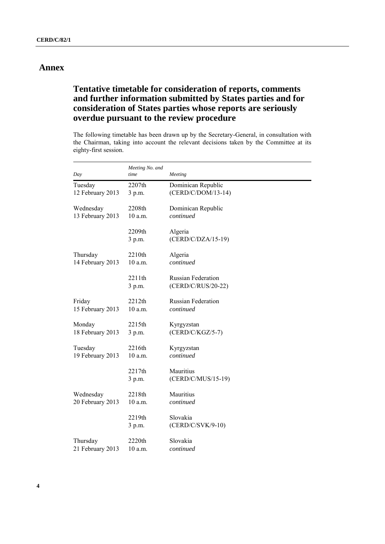### **Annex**

### **Tentative timetable for consideration of reports, comments and further information submitted by States parties and for consideration of States parties whose reports are seriously overdue pursuant to the review procedure**

The following timetable has been drawn up by the Secretary-General, in consultation with the Chairman, taking into account the relevant decisions taken by the Committee at its eighty-first session.

| Day              | Meeting No. and<br>time | Meeting                                         |
|------------------|-------------------------|-------------------------------------------------|
| Tuesday          | 2207th                  | Dominican Republic                              |
| 12 February 2013 | 3 p.m.                  | (CERD/C/DOM/13-14)                              |
| Wednesday        | 2208th                  | Dominican Republic                              |
| 13 February 2013 | 10 a.m.                 | continued                                       |
|                  | 2209th<br>3 p.m.        | Algeria<br>$(CERD/C/DZA/15-19)$                 |
| Thursday         | 2210th                  | Algeria                                         |
| 14 February 2013 | $10$ a.m.               | continued                                       |
|                  | 2211th<br>3 p.m.        | <b>Russian Federation</b><br>(CERD/C/RUS/20-22) |
| Friday           | 2212th                  | <b>Russian Federation</b>                       |
| 15 February 2013 | $10$ a.m.               | continued                                       |
| Monday           | 2215th                  | Kyrgyzstan                                      |
| 18 February 2013 | 3 p.m.                  | $(CERD/C/KGZ/5-7)$                              |
| Tuesday          | 2216th                  | Kyrgyzstan                                      |
| 19 February 2013 | 10 a.m.                 | continued                                       |
|                  | 2217th<br>3 p.m.        | Mauritius<br>(CERD/C/MUS/15-19)                 |
| Wednesday        | 2218th                  | Mauritius                                       |
| 20 February 2013 | 10 a.m.                 | continued                                       |
|                  | 2219th<br>3 p.m.        | Slovakia<br>$(CERD/C/SVK/9-10)$                 |
| Thursday         | 2220th                  | Slovakia                                        |
| 21 February 2013 | $10$ a.m.               | continued                                       |